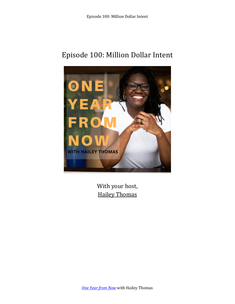## Episode 100: Million Dollar Intent



With your host, **Hailey Thomas**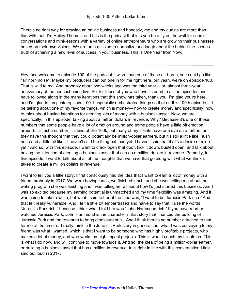There's no right way for growing an online business and honestly, me and my guests are more than fine with that. I'm Hailey Thomas, and this is the podcast that lets you be a fly on the wall for candid conversations and mini-lessons with a variety of online entrepreneurs who are growing their businesses based on their own visions. We are on a mission to normalize and laugh about the behind-the-scenes truth of achieving a new level of success in your business. This is One Year from Now.

Hey, and welcome to episode 100 of the podcast. I wish I had one of those air horns, so I could go like, \*air horn noise\*. Maybe my producers can put one in for me right here, but yeah, we're on episode 100. That is wild to me. And probably about two weeks ago was the third year— or, almost three-year anniversary of the podcast being live. So, for those of you who have listened to all the episodes and have followed along in the many iterations that this show has taken, thank you. I'm glad you're here, and I'm glad to jump into episode 100. I especially orchestrated things so that on this 100th episode, I'd be talking about one of my favorite things, which is money— how to create money and specifically, how to think about having intentions for creating lots of money with a business asset. Now, we are specifically, in this episode, talking about a million dollars in revenue. Why? Because it's one of those numbers that some people have a lot of emotion around and some people have a little bit emotion around. It's just a number, it's kind of like 100k, but many of my clients have one eye on a million, or they have this thought that they could potentially be million-dollar earners, but it's still a little like, hush hush and a little bit like, "I haven't said the thing out loud yet. I haven't said that that's a desire of mine yet." And so, with this episode, I want to crack open that door, kick it down, busted open, and talk about having the intention of creating a business asset that can do a million dollars in revenue. Primarily, in this episode, I want to talk about all of the thoughts that we have that go along with what we think it takes to create a million dollars in revenue.

I want to tell you a little story. I first consciously had the idea that I want to earn a lot of money with a friend, probably in 2017. We were having lunch, we finished lunch, and she was telling me about the writing program she was finishing and I was telling her all about how I'd just started this business. And I was so excited because my earning potential is unmatched and my time flexibility was amazing. And it was going to take a while, but what I said to her at the time was, "I want to be Jurassic Park rich." And that felt really vulnerable. And I felt a little bit embarrassed and naive to say that. I use the words "Jurassic Park rich," because I think what I told her was "John Hammond rich." If you have read or watched Jurassic Park, John Hammond is the character in that story that financed the building of Jurassic Park and the research to bring dinosaurs back. And I think there's no number attached to that for me at the time, or I really think in the Jurassic Park story in general, but what I was conveying to my friend was what I wanted, which is that I want to be someone who has highly profitable projects, who makes a lot of money, and who works on high impact projects. This is what I coach my clients on. This is what I do now, and will continue to move towards it. And so, the idea of being a million-dollar earner, or building a business asset that has a million in revenue, falls right in line with this conversation I first said out loud in 2017.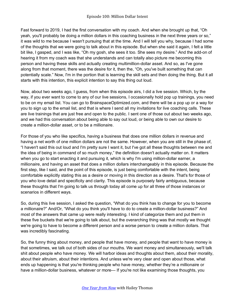Fast forward to 2019, I had the first conversation with my coach. And when she brought up that, "Oh yeah, you'll probably be doing a million dollars in this coaching business in the next three years or so," it was wild to me because I wasn't pursuing that at the time. And I will tell you why, because I had some of the thoughts that we were going to talk about in this episode. But when she said it again, I felt a little bit like, I gasped, and I was like, "Oh my gosh, she sees it too. She sees my desire." And the add-on of hearing it from my coach was that she understands and can totally also picture me becoming this person and having these skills and actually creating multimillion-dollar asset. And so, as I've gone along from that moment, there was the desire for it, then the, "Oh, you've built something that can potentially scale." Now, I'm in the portion that is learning the skill sets and then doing the thing. But it all starts with this intention, this explicit intention to say this thing out loud.

Now, about two weeks ago, I guess, from when this episode airs, I did a live session. Which, by the way, if you ever want to come to any of our live sessions, I occasionally hold pop up trainings, you need to be on my email list. You can go to BrainspaceOptimized.com, and there will be a pop up or a way for you to sign up to the email list, and that is where I send all my invitations for live coaching calls. These are live trainings that are just free and open to the public. I sent one of those out about two weeks ago, and we had this conversation about being able to say out loud, or being able to own our desire to create a million-dollar asset, or to be a millionaire.

For those of you who like specifics, having a business that does one million dollars in revenue and having a net worth of one million dollars are not the same. However, when you are still in the phase of, "I haven't said this out loud and I'm pretty sure I want it, but I've got all these thoughts between me and the idea of being in command of so much money," the definition doesn't actually matter on. It matters when you go to start enacting it and pursuing it, which is why I'm using million-dollar earner, a millionaire, and having an asset that does a million dollars interchangeably in this episode. Because the first step, like I said, and the point of this episode, is just being comfortable with the intent, being comfortable explicitly stating this as a desire or moving in this direction as a desire. That's for those of you who love detail and specificity and clarity. This episode is purposely fairly ambiguous, because these thoughts that I'm going to talk us through today all come up for all three of those instances or scenarios in different ways.

So, during this live session, I asked the question, "What do you think has to change for you to become a millionaire?" And/Or, "What do you think you'll have to do to create a million-dollar business?" And most of the answers that came up were really interesting. I kind of categorize them and put them in these five buckets that we're going to talk about, but the overarching thing was that mostly we thought we're going to have to become a different person and a worse person to create a million dollars. That was incredibly fascinating.

So, the funny thing about money, and people that have money, and people that want to have money is that sometimes, we talk out of both sides of our mouths. We want money and simultaneously, we'll talk shit about people who have money. We will harbor ideas and thoughts about them, about their morality, about their altruism, about their intentions. And unless we're very clear and open about those, what ends up happening is that you're thinking people who have money, whether they're a millionaire or have a million-dollar business, whatever or more— If you're not like examining those thoughts, you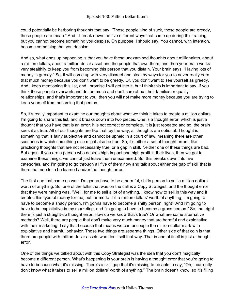could potentially be harboring thoughts that say, "Those people kind of suck, those people are greedy, those people are mean." And I'll break down the five different ways that came up during this training, but you cannot become something you despise. On purpose, I should say. You cannot, with intention, become something that you despise.

And so, what ends up happening is that you have these unexamined thoughts about millionaires, about a million dollars, about a million-dollar asset and the people that own them, and then your brain works very stealthily to keep you from becoming this person that you distain. Your brain says, "Having lots of money is greedy." So, it will come up with very discreet and stealthy ways for you to never really earn that much money because you don't want to be greedy. Or, you don't want to see yourself as greedy. And I keep mentioning this list, and I promise I will get into it, but I think this is important to say. If you think those people overwork and do too much and don't care about their families or quality relationships, and that's important to you, then you will not make more money because you are trying to keep yourself from becoming that person.

So, it's really important to examine our thoughts about what we think it takes to create a million dollars. I'm going to share this list, and it breaks down into two pieces. One is a thought error, which is just a thought that you have that is an error. It is not correct or complete. It is just repeated and so, the brain sees it as true. All of our thoughts are like that, by the way, all thoughts are optional. Thought is something that is fairly subjective and cannot be upheld in a court of law, meaning there are other scenarios in which something else might also be true. So, it's either a set of thought errors, like practicing thoughts that are not necessarily true, or a gap in skill. Neither one of these things are bad. But again, if you are a person who desires high impact and high profit in their lives, then we got to examine these things, we cannot just leave them unexamined. So, this breaks down into five categories, and I'm going to go through all five of them now and talk about either the gap of skill that is there that needs to be learned and/or the thought error.

The first one that came up was: I'm gonna have to be a harmful, shitty person to sell a million dollars' worth of anything. So, one of the folks that was on the call is a Copy Strategist, and the thought error that they were having was, "Well, for me to sell a lot of anything, I know how to sell in this way and it creates this type of money for me, but for me to sell a million dollars' worth of anything, I'm going to have to become a shady person, I'm gonna have to become a shitty person, right? And I'm going to have to be exploitative in my marketing, and I'm going to have to become a gross person." So, that right there is just a straight-up thought error. How do we know that's true? Or what are some alternative methods? Well, there are people that don't make very much money that are harmful and exploitative with their marketing. I say that because that means we can uncouple the million-dollar mark with exploitative and harmful behavior. Those two things are separate things. Other side of that coin is that there are people with million-dollar assets who don't sell that way. That in and of itself is just a thought error.

One of the things we talked about with this Copy Strategist was the idea that you don't magically become a different person. What's happening is your brain is having a thought error that you're going to have to because what it's missing. There's a skill gap that it's missing to be able to say, "Oh, I currently don't know what it takes to sell a million dollars' worth of anything." The brain doesn't know, so it's filling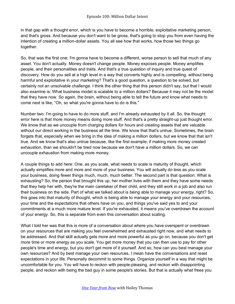in that gap with a thought error, which is you have to become a horrible, exploitative marketing person, and that's gross. And because you don't want to be gross, that's going to stop you from even having the intention of creating a million-dollar assets. You all see how that works, how those two things go together.

So, that was the first one: I'm gonna have to become a different, worse person to sell that much of any asset. You don't actually. Money doesn't change people. Money exposes people. Money amplifies people, and their personalities and traits. And that's a true question of inquiry and true quest of discovery. How do you sell at a high level in a way that converts highly and is compelling, without being harmful and exploitative in your marketing? That's a good question, a question to be solved, but certainly not an unsolvable challenge. I think the other thing that this person didn't say, but that I would also examine is: What business model is scalable to a million dollars? Because it may not be the model that they have now. So again, the brain, without being able to tell the future and know what needs to come next is like, "Oh, so what you're gonna have to do is this."

Number two: I'm going to have to do more stuff, and I'm already exhausted by it all. So, the thought error here is that more money means doing more stuff. And that's a pretty straight-up just thought error. We know that as we uncouple from charging dollars for hours and creating assets that are valuable without our direct working in the business all the time. We know that that's untrue. Sometimes, the brain forgets that, especially when we bring in the idea of making a million dollars, but we know that that isn't true. And we know that's also untrue because, like the first example, if making more money created exhaustion, than we shouldn't be tired now because we don't have a million dollars. So, we can uncouple exhaustion from making more money.

A couple things to add here: One, as you scale, what needs to scale is maturity of thought, which actually simplifies more and more and more of your business. You will actually do less as you scale your business, doing fewer things much, much, much better. The second part is that question: What is exhausting? So, the person that brought this up, her mother lives with them and they have some needs that they help her with, they're the main caretaker of their child, and they still work in a job and also run their business on the side. Part of what we talked about is being able to manage your energy, right? So, this goes into that maturity of thought, which is being able to manage your energy and your resources, your time and the expectations that others have on you, and things you've said yes to and your commitments at a much more mature level. If you're exhausted, it means you've overdrawn the account of your energy. So, this is separate from even this conversation about scaling.

What I told her was that this is more of a conversation about where you have overspent or overdrawn on your resources that are making you feel overwhelmed and exhausted right now, and what needs to be addressed. And that skill actually gets more and more powerful as you go on, because you don't get more time or more energy as you scale. You get more money that you can then use to pay for other people's time and energy, but you don't get more of it yourself. And so, how can you best manage your own resources? And by best manage your own resources, I mean have the conversations and reset expectations in your life. Personally decommit to some things. Organize yourself in a way that might be uncomfortable for you. You will have to reckon with people-pleasing, and reckon with disappointing people, and reckon with being the bad guy in some people's stories. But that is actually what frees you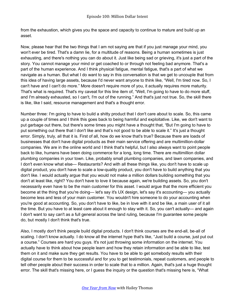from the exhaustion, which gives you the space and capacity to continue to mature and build up an asset.

Now, please hear that the two things that I am not saying are that if you just manage your mind, you won't ever be tired. That's a damn lie, for a multitude of reasons. Being a human sometimes is just exhausting, and there's nothing you can do about it. Just like being sad or grieving, it's just a part of the story. You cannot manage your mind or get coached to or through not feeling bad anymore. That's a part of the human experience. And I think physical fatigue, mental fatigue, that's a part of what we navigate as a human. But what I do want to say in this conversation is that we get to uncouple that from this idea of having large assets, because I'd never want anyone to think like, "Well, I'm tired now. So, I can't have and I can't do more." More doesn't require more of you, it actually requires more maturity. That's what is required. That's my caveat for this line item of, "Well, I'm going to have to do more stuff, and I'm already exhausted, so I can't, I'm out of the running." And that's just not true. So, the skill there is like, like I said, resource management and that's a thought error.

Number three: I'm going to have to build a shitty product that I don't care about to scale. So, this came up a couple of times and I think this goes back to being harmful and exploitative. Like, we don't want to put garbage out there, but there's some times you might have a thought that, "But I'm going to have to put something out there that I don't like and that's not good to be able to scale it." It's just a thought error. Simply, truly, all that it is. First of all, how do we know that's true? Because there are loads of businesses that don't have digital products as their main service offering and are multimillion-dollar companies. We are in the online world and I think that's helpful, but I also always want to point people back to like, humans have been doing commerce for a long, long time. There are multimillion dollar plumbing companies in your town. Like, probably small plumbing companies, and lawn companies, and I don't even know what else— Restaurants? And with all these things like, you don't have to scale up digital product, you don't have to scale a low-quality product, you don't have to build anything that you don't like. I would actually argue that you would not make a million dollars building something that you don't at least like, right? You don't have to love it because again, we're building assets. So, you don't necessarily even have to be the main customer for this asset. I would argue that the more efficient you become at the thing that you're doing— let's say it's UX design, let's say it's accounting— you actually become less and less of your main customer. You wouldn't hire someone to do your accounting when you're good at accounting. So, you don't have to like, be in love with it and be like, a main user of it all the time. But you have to at least care about it enough to stay with it. So, you can't actually— and again I don't want to say can't as a full general across the land ruling, because I'm guarantee some people do, but mostly I don't think that's true.

Also, I mostly don't think people build digital products. I don't think courses are the end-all, be-all of scaling. I don't know actually. I do know all the internet hype that's like, "Just build a course, just put out a course." Courses are hard you guys. It's not just throwing some information on the internet. You actually have to think about how people learn and how they retain information and be able to like, test them on it and make sure they get results. You have to be able to get somebody results with their digital course for them to be successful and for you to get testimonials, repeat customers, and people to tell other people about their success in order to scale that to a million. Again, that's just a huge thought error. The skill that's missing here, or I guess the inquiry or the question that's missing here is, "What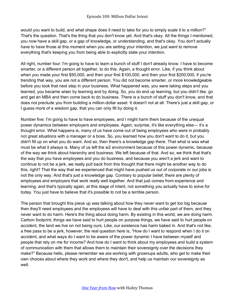would you want to build, and what shape does it need to take for you to simply scale it to a million?" That's the question. That's the thing that you don't know yet. And that's okay. All the things I mentioned, you now have a skill gap, or a gap of knowledge, or understanding, and that's okay. You don't actually have to have those at this moment when you are setting your intention, we just want to remove everything that's keeping you from being able to explicitly state your intention.

All right, number four: I'm going to have to learn a bunch of stuff I don't already know. I have to become smarter, or a different person all together, to do this. Again, a thought error. Like, if you think about when you made your first \$50,000, and then your first \$100,000, and then your first \$200,000, if you're trending that way, you are not a different person. You did not become smarter, or more knowledgeable before you took that next step in your business. What happened was, you were taking steps and you learned, you became wiser by learning and by doing. So, you do end up learning, but you didn't like, go and get an MBA and then come back to do business. There is a bunch of stuff you don't know, and that does not preclude you from building a million-dollar asset. It doesn't not at all. There's just a skill gap, or I guess more of a wisdom gap, that you can only fill by doing it.

Number five: I'm going to have to have employees, and I might harm them because of the unequal power dynamics between employers and employees. Again, surprise, it's like everything else— it's a thought error. What happens is, many of us have come out of being employees who were in probably not great situations with a manager or a boss. So, you learned how you don't want to do it, but you didn't fill up on what you do want. And so, then there's a knowledge gap there. That what is was what must be what it always is. Many of us left the w2 environment because of this power dynamic, because of the way we think about hierarchy and business. We left because of that. And so, we think that that's the way that you have employees and you do business, and because you aren't a jerk and want to continue to not be a jerk, we really pull back from this thought that there might be another way to do this, right? That the way that we experienced that might have pushed us out of corporate or our jobs is not the only way. And that's just a knowledge gap. Contrary to popular belief, there are plenty of employees and employers that work really well together. And that just comes from experience and learning, and that's typically again, at this stage of intent, not something you actually have to solve for today. You just have to believe that it's possible to not be a terrible person.

The person that brought this piece up was talking about how they never want to get too big because then they'll need employees and the employees will have to deal with this unfair part of them, and they never want to do harm. Here's the thing about doing harm. By existing in this world, we are doing harm. Carbon footprint, things we have said to hurt people on purpose things, we have said to hurt people on accident, the land we live on not being ours. Like, our existence has harm baked in. And that's not like, a free pass to be a jerk, however, the real question here is, "How do I want to respond when I do it on accident, and what ways do I want to be aware of the power dynamic I have between myself and people that rely on me for income? And how do I want to think about my employees and build a system of communication with them that allows them to maintain their sovereignty over the decisions they make?" Because hello, please remember we are working with grownups adults, who get to make their own choices about where they work and where they don't, and help us maintain our sovereignty as well.